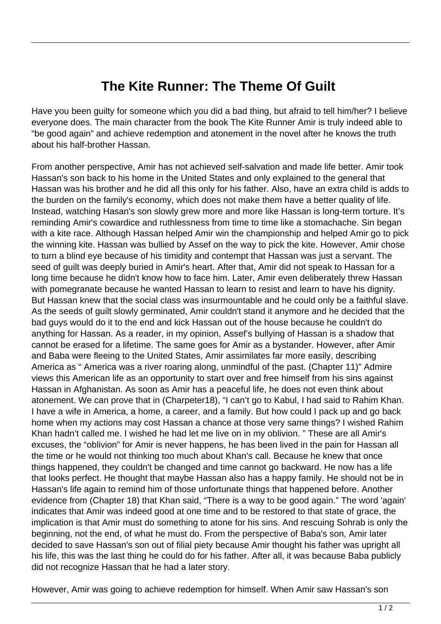## **The Kite Runner: The Theme Of Guilt**

Have you been guilty for someone which you did a bad thing, but afraid to tell him/her? I believe everyone does. The main character from the book The Kite Runner Amir is truly indeed able to "be good again" and achieve redemption and atonement in the novel after he knows the truth about his half-brother Hassan.

From another perspective, Amir has not achieved self-salvation and made life better. Amir took Hassan's son back to his home in the United States and only explained to the general that Hassan was his brother and he did all this only for his father. Also, have an extra child is adds to the burden on the family's economy, which does not make them have a better quality of life. Instead, watching Hasan's son slowly grew more and more like Hassan is long-term torture. It's reminding Amir's cowardice and ruthlessness from time to time like a stomachache. Sin began with a kite race. Although Hassan helped Amir win the championship and helped Amir go to pick the winning kite. Hassan was bullied by Assef on the way to pick the kite. However, Amir chose to turn a blind eye because of his timidity and contempt that Hassan was just a servant. The seed of guilt was deeply buried in Amir's heart. After that, Amir did not speak to Hassan for a long time because he didn't know how to face him. Later, Amir even deliberately threw Hassan with pomegranate because he wanted Hassan to learn to resist and learn to have his dignity. But Hassan knew that the social class was insurmountable and he could only be a faithful slave. As the seeds of guilt slowly germinated, Amir couldn't stand it anymore and he decided that the bad guys would do it to the end and kick Hassan out of the house because he couldn't do anything for Hassan. As a reader, in my opinion, Assef's bullying of Hassan is a shadow that cannot be erased for a lifetime. The same goes for Amir as a bystander. However, after Amir and Baba were fleeing to the United States, Amir assimilates far more easily, describing America as " America was a river roaring along, unmindful of the past. (Chapter 11)" Admire views this American life as an opportunity to start over and free himself from his sins against Hassan in Afghanistan. As soon as Amir has a peaceful life, he does not even think about atonement. We can prove that in (Charpeter18), "I can't go to Kabul, I had said to Rahim Khan. I have a wife in America, a home, a career, and a family. But how could I pack up and go back home when my actions may cost Hassan a chance at those very same things? I wished Rahim Khan hadn't called me. I wished he had let me live on in my oblivion. " These are all Amir's excuses, the "oblivion" for Amir is never happens, he has been lived in the pain for Hassan all the time or he would not thinking too much about Khan's call. Because he knew that once things happened, they couldn't be changed and time cannot go backward. He now has a life that looks perfect. He thought that maybe Hassan also has a happy family. He should not be in Hassan's life again to remind him of those unfortunate things that happened before. Another evidence from (Chapter 18) that Khan said, "There is a way to be good again." The word 'again' indicates that Amir was indeed good at one time and to be restored to that state of grace, the implication is that Amir must do something to atone for his sins. And rescuing Sohrab is only the beginning, not the end, of what he must do. From the perspective of Baba's son, Amir later decided to save Hassan's son out of filial piety because Amir thought his father was upright all his life, this was the last thing he could do for his father. After all, it was because Baba publicly did not recognize Hassan that he had a later story.

However, Amir was going to achieve redemption for himself. When Amir saw Hassan's son